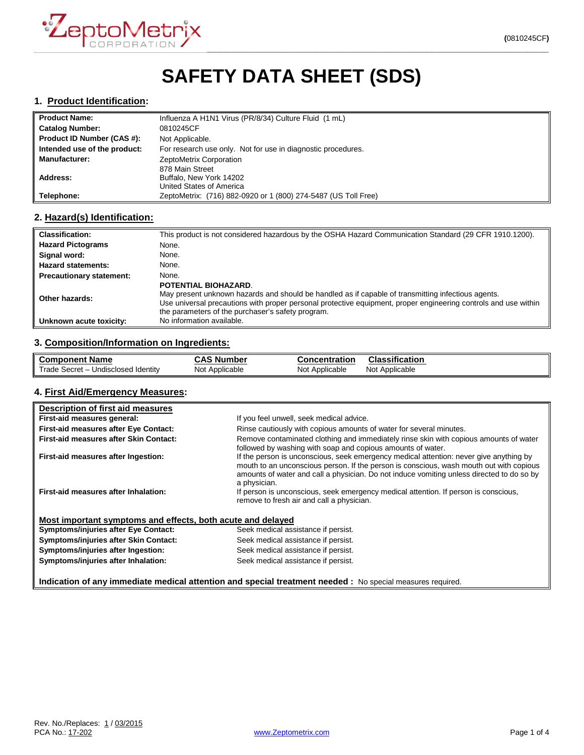

# **SAFETY DATA SHEET (SDS)**

#### **1. Product Identification:**

| <b>Product Name:</b>         | Influenza A H1N1 Virus (PR/8/34) Culture Fluid (1 mL)          |
|------------------------------|----------------------------------------------------------------|
| <b>Catalog Number:</b>       | 0810245CF                                                      |
| Product ID Number (CAS #):   | Not Applicable.                                                |
| Intended use of the product: | For research use only. Not for use in diagnostic procedures.   |
| <b>Manufacturer:</b>         | ZeptoMetrix Corporation                                        |
|                              | 878 Main Street                                                |
| Address:                     | Buffalo, New York 14202                                        |
|                              | United States of America                                       |
| Telephone:                   | ZeptoMetrix: (716) 882-0920 or 1 (800) 274-5487 (US Toll Free) |

## **2. Hazard(s) Identification:**

| <b>Classification:</b>          | This product is not considered hazardous by the OSHA Hazard Communication Standard (29 CFR 1910.1200).                                                                                                                                                                                             |
|---------------------------------|----------------------------------------------------------------------------------------------------------------------------------------------------------------------------------------------------------------------------------------------------------------------------------------------------|
| <b>Hazard Pictograms</b>        | None.                                                                                                                                                                                                                                                                                              |
| Signal word:                    | None.                                                                                                                                                                                                                                                                                              |
| <b>Hazard statements:</b>       | None.                                                                                                                                                                                                                                                                                              |
| <b>Precautionary statement:</b> | None.                                                                                                                                                                                                                                                                                              |
| Other hazards:                  | POTENTIAL BIOHAZARD.<br>May present unknown hazards and should be handled as if capable of transmitting infectious agents.<br>Use universal precautions with proper personal protective equipment, proper engineering controls and use within<br>the parameters of the purchaser's safety program. |
| Unknown acute toxicity:         | No information available.                                                                                                                                                                                                                                                                          |

#### **3. Composition/Information on Ingredients:**

| <b>Component Name</b>               | CAS<br>ה Number | Concentration  | Classification    |
|-------------------------------------|-----------------|----------------|-------------------|
| Trade Secret - Undisclosed Identity | Not Applicable  | Not Applicable | Not<br>Applicable |

#### **4. First Aid/Emergency Measures:**

| Description of first aid measures                                                                          |                                                                                                                                                                                                                                                                                                |  |
|------------------------------------------------------------------------------------------------------------|------------------------------------------------------------------------------------------------------------------------------------------------------------------------------------------------------------------------------------------------------------------------------------------------|--|
| First-aid measures general:                                                                                | If you feel unwell, seek medical advice.                                                                                                                                                                                                                                                       |  |
| <b>First-aid measures after Eye Contact:</b>                                                               | Rinse cautiously with copious amounts of water for several minutes.                                                                                                                                                                                                                            |  |
| First-aid measures after Skin Contact:                                                                     | Remove contaminated clothing and immediately rinse skin with copious amounts of water<br>followed by washing with soap and copious amounts of water.                                                                                                                                           |  |
| First-aid measures after Ingestion:                                                                        | If the person is unconscious, seek emergency medical attention: never give anything by<br>mouth to an unconscious person. If the person is conscious, wash mouth out with copious<br>amounts of water and call a physician. Do not induce vomiting unless directed to do so by<br>a physician. |  |
| First-aid measures after Inhalation:                                                                       | If person is unconscious, seek emergency medical attention. If person is conscious,<br>remove to fresh air and call a physician.                                                                                                                                                               |  |
| Most important symptoms and effects, both acute and delayed                                                |                                                                                                                                                                                                                                                                                                |  |
| <b>Symptoms/injuries after Eye Contact:</b>                                                                | Seek medical assistance if persist.                                                                                                                                                                                                                                                            |  |
| Symptoms/injuries after Skin Contact:                                                                      | Seek medical assistance if persist.                                                                                                                                                                                                                                                            |  |
| Symptoms/injuries after Ingestion:                                                                         | Seek medical assistance if persist.                                                                                                                                                                                                                                                            |  |
| Symptoms/injuries after Inhalation:                                                                        | Seek medical assistance if persist.                                                                                                                                                                                                                                                            |  |
| Indication of any immediate medical attention and special treatment needed : No special measures required. |                                                                                                                                                                                                                                                                                                |  |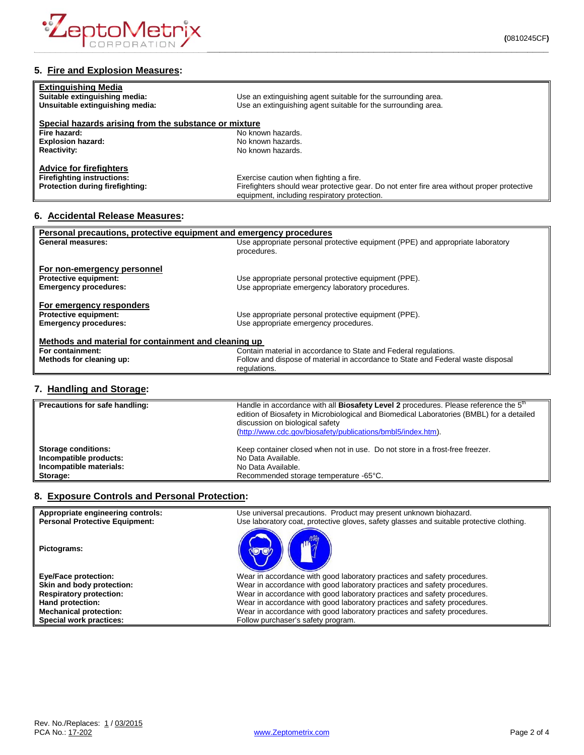

| <b>Extinguishing Media</b>                            |                                                                                            |
|-------------------------------------------------------|--------------------------------------------------------------------------------------------|
| Suitable extinguishing media:                         | Use an extinguishing agent suitable for the surrounding area.                              |
| Unsuitable extinguishing media:                       | Use an extinguishing agent suitable for the surrounding area.                              |
| Special hazards arising from the substance or mixture |                                                                                            |
| Fire hazard:                                          | No known hazards.                                                                          |
| <b>Explosion hazard:</b>                              | No known hazards.                                                                          |
| <b>Reactivity:</b>                                    | No known hazards.                                                                          |
| <b>Advice for firefighters</b>                        |                                                                                            |
| <b>Firefighting instructions:</b>                     | Exercise caution when fighting a fire.                                                     |
| Protection during firefighting:                       | Firefighters should wear protective gear. Do not enter fire area without proper protective |
|                                                       | equipment, including respiratory protection.                                               |

# **6. Accidental Release Measures:**

| Personal precautions, protective equipment and emergency procedures |                                                                                  |  |
|---------------------------------------------------------------------|----------------------------------------------------------------------------------|--|
| <b>General measures:</b>                                            | Use appropriate personal protective equipment (PPE) and appropriate laboratory   |  |
|                                                                     | procedures.                                                                      |  |
|                                                                     |                                                                                  |  |
| For non-emergency personnel                                         |                                                                                  |  |
| <b>Protective equipment:</b>                                        | Use appropriate personal protective equipment (PPE).                             |  |
| <b>Emergency procedures:</b>                                        | Use appropriate emergency laboratory procedures.                                 |  |
|                                                                     |                                                                                  |  |
| For emergency responders                                            |                                                                                  |  |
| <b>Protective equipment:</b>                                        | Use appropriate personal protective equipment (PPE).                             |  |
| <b>Emergency procedures:</b>                                        | Use appropriate emergency procedures.                                            |  |
|                                                                     |                                                                                  |  |
| Methods and material for containment and cleaning up                |                                                                                  |  |
| For containment:                                                    | Contain material in accordance to State and Federal regulations.                 |  |
| Methods for cleaning up:                                            | Follow and dispose of material in accordance to State and Federal waste disposal |  |
|                                                                     | regulations.                                                                     |  |
|                                                                     |                                                                                  |  |

## **7. Handling and Storage:**

| Precautions for safe handling: | Handle in accordance with all Biosafety Level 2 procedures. Please reference the 5 <sup>th</sup><br>edition of Biosafety in Microbiological and Biomedical Laboratories (BMBL) for a detailed<br>discussion on biological safety<br>(http://www.cdc.gov/biosafety/publications/bmbl5/index.htm). |
|--------------------------------|--------------------------------------------------------------------------------------------------------------------------------------------------------------------------------------------------------------------------------------------------------------------------------------------------|
| <b>Storage conditions:</b>     | Keep container closed when not in use. Do not store in a frost-free freezer.                                                                                                                                                                                                                     |
| Incompatible products:         | No Data Available.                                                                                                                                                                                                                                                                               |
| Incompatible materials:        | No Data Available.                                                                                                                                                                                                                                                                               |
| Storage:                       | Recommended storage temperature -65°C.                                                                                                                                                                                                                                                           |

## **8. Exposure Controls and Personal Protection:**

| Appropriate engineering controls:<br><b>Personal Protective Equipment:</b> | Use universal precautions. Product may present unknown biohazard.<br>Use laboratory coat, protective gloves, safety glasses and suitable protective clothing. |
|----------------------------------------------------------------------------|---------------------------------------------------------------------------------------------------------------------------------------------------------------|
| Pictograms:                                                                |                                                                                                                                                               |
| <b>Eye/Face protection:</b>                                                | Wear in accordance with good laboratory practices and safety procedures.                                                                                      |
| Skin and body protection:                                                  | Wear in accordance with good laboratory practices and safety procedures.                                                                                      |
| <b>Respiratory protection:</b>                                             | Wear in accordance with good laboratory practices and safety procedures.                                                                                      |
| Hand protection:                                                           | Wear in accordance with good laboratory practices and safety procedures.                                                                                      |
| <b>Mechanical protection:</b>                                              | Wear in accordance with good laboratory practices and safety procedures.                                                                                      |
| Special work practices:                                                    | Follow purchaser's safety program.                                                                                                                            |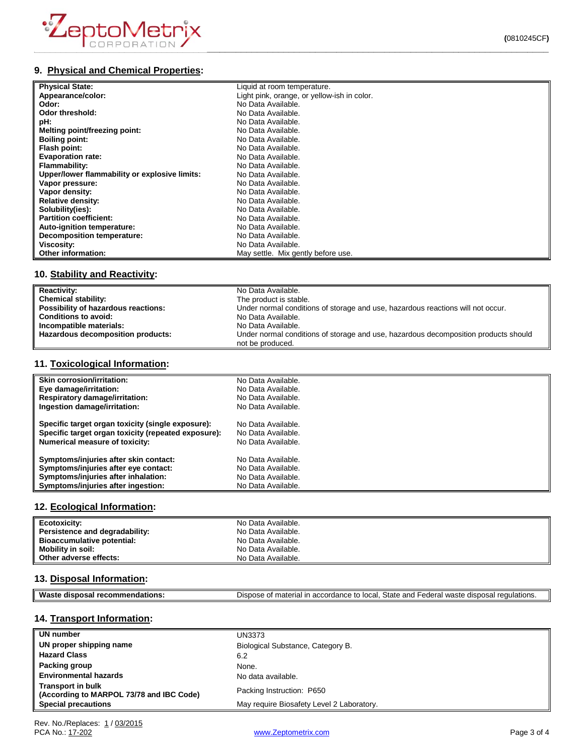

# **9. Physical and Chemical Properties:**

| <b>Physical State:</b>                        | Liquid at room temperature.                 |
|-----------------------------------------------|---------------------------------------------|
| Appearance/color:                             | Light pink, orange, or yellow-ish in color. |
| Odor:                                         | No Data Available.                          |
| Odor threshold:                               | No Data Available.                          |
| pH:                                           | No Data Available.                          |
| Melting point/freezing point:                 | No Data Available.                          |
| <b>Boiling point:</b>                         | No Data Available.                          |
| Flash point:                                  | No Data Available.                          |
| <b>Evaporation rate:</b>                      | No Data Available.                          |
| Flammability:                                 | No Data Available.                          |
| Upper/lower flammability or explosive limits: | No Data Available.                          |
| Vapor pressure:                               | No Data Available.                          |
| Vapor density:                                | No Data Available.                          |
| <b>Relative density:</b>                      | No Data Available.                          |
| Solubility(ies):                              | No Data Available.                          |
| <b>Partition coefficient:</b>                 | No Data Available.                          |
| Auto-ignition temperature:                    | No Data Available.                          |
| <b>Decomposition temperature:</b>             | No Data Available.                          |
| Viscosity:                                    | No Data Available.                          |
| Other information:                            | May settle. Mix gently before use.          |

# **10. Stability and Reactivity:**

| <b>Reactivity:</b>                  | No Data Available.                                                                                      |
|-------------------------------------|---------------------------------------------------------------------------------------------------------|
| Chemical stability:                 | The product is stable.                                                                                  |
| Possibility of hazardous reactions: | Under normal conditions of storage and use, hazardous reactions will not occur.                         |
| <b>Conditions to avoid:</b>         | No Data Available.                                                                                      |
| Incompatible materials:             | No Data Available.                                                                                      |
| Hazardous decomposition products:   | Under normal conditions of storage and use, hazardous decomposition products should<br>not be produced. |

## **11. Toxicological Information:**

| <b>Skin corrosion/irritation:</b>                   | No Data Available. |
|-----------------------------------------------------|--------------------|
| Eye damage/irritation:                              | No Data Available. |
| <b>Respiratory damage/irritation:</b>               | No Data Available. |
| Ingestion damage/irritation:                        | No Data Available. |
| Specific target organ toxicity (single exposure):   | No Data Available. |
| Specific target organ toxicity (repeated exposure): | No Data Available. |
| <b>Numerical measure of toxicity:</b>               | No Data Available. |
| Symptoms/injuries after skin contact:               | No Data Available. |
| Symptoms/injuries after eye contact:                | No Data Available. |
| Symptoms/injuries after inhalation:                 | No Data Available. |
| Symptoms/injuries after ingestion:                  | No Data Available. |

#### **12. Ecological Information:**

| Ecotoxicity:                      | No Data Available. |
|-----------------------------------|--------------------|
| Persistence and degradability:    | No Data Available. |
| <b>Bioaccumulative potential:</b> | No Data Available. |
| Mobility in soil:                 | No Data Available. |
| Other adverse effects:            | No Data Available. |

#### **13. Disposal Information:**

| ML<br>oв.<br>50<br>- - | State<br>and<br>local<br>1.0 <sub>m</sub><br>- -<br>$\overline{a}$<br>- 스<br>י הווה<br>.00<br>,,,<br>. Ir<br>~<br>$\epsilon$<br>.ore<br>$\overline{\phantom{a}}$<br>$\sim$<br>ы.<br>-<br>.107<br>৴౹៶<br>วเเ<br><b>EULDI</b> 13.<br>.<br>. . |
|------------------------|---------------------------------------------------------------------------------------------------------------------------------------------------------------------------------------------------------------------------------------------|
|                        |                                                                                                                                                                                                                                             |

# **14. Transport Information:**

| UN number                                                            | UN3373                                    |
|----------------------------------------------------------------------|-------------------------------------------|
| UN proper shipping name                                              | Biological Substance, Category B.         |
| <b>Hazard Class</b>                                                  | 6.2                                       |
| Packing group                                                        | None.                                     |
| <b>Environmental hazards</b>                                         | No data available.                        |
| <b>Transport in bulk</b><br>(According to MARPOL 73/78 and IBC Code) | Packing Instruction: P650                 |
| <b>Special precautions</b>                                           | May require Biosafety Level 2 Laboratory. |

[www.Zeptometrix.com](http://www.zeptometrix.com/) example and the property of 4